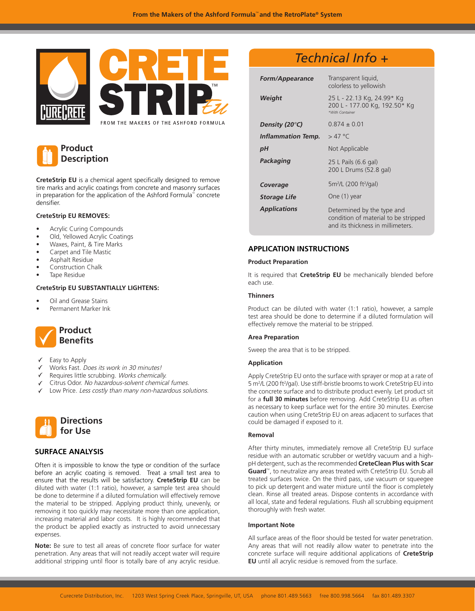



**CreteStrip EU** is a chemical agent specifically designed to remove tire marks and acrylic coatings from concrete and masonry surfaces in preparation for the application of the Ashford Formula<sup> $<sub>m</sub>$ </sup> concrete</sup></sub> densifier.

## **CreteStrip EU REMOVES:**

- Acrylic Curing Compounds
- Old, Yellowed Acrylic Coatings
- Waxes, Paint, & Tire Marks
- Carpet and Tile Mastic
- Asphalt Residue
- Construction Chalk
- Tape Residue

# **CreteStrip EU SUBSTANTIALLY LIGHTENS:**

- Oil and Grease Stains
- Permanent Marker Ink



- Easy to Apply
- Works Fast. Does its work in 30 minutes!
- Requires little scrubbing. Works chemically. ✓
- Citrus Odor. No hazardous-solvent chemical fumes.
- Low Price. Less costly than many non-hazardous solutions.



# **SURFACE ANALYSIS**

Often it is impossible to know the type or condition of the surface before an acrylic coating is removed. Treat a small test area to ensure that the results will be satisfactory. **CreteStrip EU** can be diluted with water (1:1 ratio), however, a sample test area should be done to determine if a diluted formulation will effectively remove the material to be stripped. Applying product thinly, unevenly, or removing it too quickly may necessitate more than one application, increasing material and labor costs. It is highly recommended that the product be applied exactly as instructed to avoid unnecessary expenses.

**Note:** Be sure to test all areas of concrete floor surface for water penetration. Any areas that will not readily accept water will require additional stripping until floor is totally bare of any acrylic residue.

# *Technical Info +*

| <b>Form/Appearance</b> | Transparent liquid,<br>colorless to yellowish                                                           |
|------------------------|---------------------------------------------------------------------------------------------------------|
| Weight                 | 25 L - 22.13 Kg, 24.99* Kg<br>200 L - 177.00 Kg, 192.50* Kg<br>*With Container                          |
| Density (20°C)         | $0.874 + 0.01$                                                                                          |
| Inflammation Temp.     | $>47$ °C                                                                                                |
| рH                     | Not Applicable                                                                                          |
| Packaging              | 25 L Pails (6.6 gal)<br>200 L Drums (52.8 gal)                                                          |
| Coverage               | 5m <sup>2</sup> /L (200 ft <sup>2</sup> /gal)                                                           |
| <b>Storage Life</b>    | One (1) year                                                                                            |
| <b>Applications</b>    | Determined by the type and<br>condition of material to be stripped<br>and its thickness in millimeters. |

# **APPLICATION INSTRUCTIONS**

#### **Product Preparation**

It is required that **CreteStrip EU** be mechanically blended before each use.

## **Thinners**

Product can be diluted with water (1:1 ratio), however, a sample test area should be done to determine if a diluted formulation will effectively remove the material to be stripped.

#### **Area Preparation**

Sweep the area that is to be stripped.

#### **Application**

Apply CreteStrip EU onto the surface with sprayer or mop at a rate of 5 m<sup>2</sup>/L (200 ft<sup>2</sup>/gal). Use stiff-bristle brooms to work CreteStrip EU into the concrete surface and to distribute product evenly. Let product sit for a **full 30 minutes** before removing. Add CreteStrip EU as often as necessary to keep surface wet for the entire 30 minutes. Exercise caution when using CreteStrip EU on areas adjacent to surfaces that could be damaged if exposed to it.

#### **Removal**

After thirty minutes, immediately remove all CreteStrip EU surface residue with an automatic scrubber or wet/dry vacuum and a highpH detergent, such as the recommended **CreteClean Plus with Scar**  Guard<sup>™</sup>, to neutralize any areas treated with CreteStrip EU. Scrub all treated surfaces twice. On the third pass, use vacuum or squeegee to pick up detergent and water mixture until the floor is completely clean. Rinse all treated areas. Dispose contents in accordance with all local, state and federal regulations. Flush all scrubbing equipment thoroughly with fresh water.

#### **Important Note**

All surface areas of the floor should be tested for water penetration. Any areas that will not readily allow water to penetrate into the concrete surface will require additional applications of **CreteStrip EU** until all acrylic residue is removed from the surface.